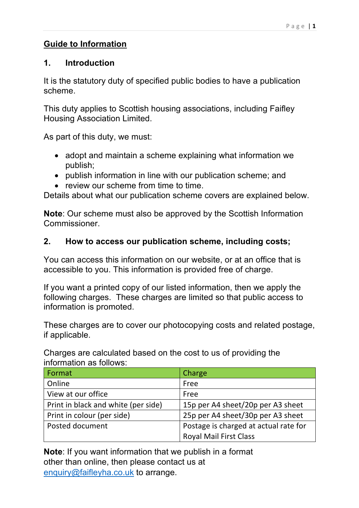### **Guide to Information**

### **1. Introduction**

It is the statutory duty of specified public bodies to have a publication scheme.

This duty applies to Scottish housing associations, including Faifley Housing Association Limited.

As part of this duty, we must:

- adopt and maintain a scheme explaining what information we publish;
- publish information in line with our publication scheme; and
- review our scheme from time to time.

Details about what our publication scheme covers are explained below.

**Note**: Our scheme must also be approved by the Scottish Information Commissioner.

## **2. How to access our publication scheme, including costs;**

You can access this information on our website, or at an office that is accessible to you. This information is provided free of charge.

If you want a printed copy of our listed information, then we apply the following charges. These charges are limited so that public access to information is promoted.

These charges are to cover our photocopying costs and related postage, if applicable.

Charges are calculated based on the cost to us of providing the information as follows:

| Format                              | Charge                                |
|-------------------------------------|---------------------------------------|
| Online                              | Free                                  |
| View at our office                  | Free                                  |
| Print in black and white (per side) | 15p per A4 sheet/20p per A3 sheet     |
| Print in colour (per side)          | 25p per A4 sheet/30p per A3 sheet     |
| Posted document                     | Postage is charged at actual rate for |
|                                     | <b>Royal Mail First Class</b>         |

**Note**: If you want information that we publish in a format other than online, then please contact us at enquiry@faifleyha.co.uk to arrange.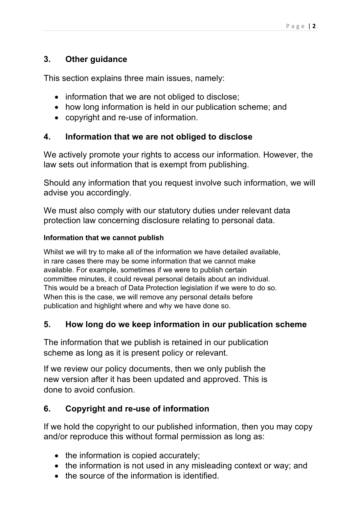## **3. Other guidance**

This section explains three main issues, namely:

- information that we are not obliged to disclose;
- how long information is held in our publication scheme; and
- copyright and re-use of information.

### **4. Information that we are not obliged to disclose**

We actively promote your rights to access our information. However, the law sets out information that is exempt from publishing.

Should any information that you request involve such information, we will advise you accordingly.

We must also comply with our statutory duties under relevant data protection law concerning disclosure relating to personal data.

#### **Information that we cannot publish**

Whilst we will try to make all of the information we have detailed available, in rare cases there may be some information that we cannot make available. For example, sometimes if we were to publish certain committee minutes, it could reveal personal details about an individual. This would be a breach of Data Protection legislation if we were to do so. When this is the case, we will remove any personal details before publication and highlight where and why we have done so.

### **5. How long do we keep information in our publication scheme**

The information that we publish is retained in our publication scheme as long as it is present policy or relevant.

If we review our policy documents, then we only publish the new version after it has been updated and approved. This is done to avoid confusion.

### **6. Copyright and re-use of information**

If we hold the copyright to our published information, then you may copy and/or reproduce this without formal permission as long as:

- the information is copied accurately;
- the information is not used in any misleading context or way; and
- the source of the information is identified.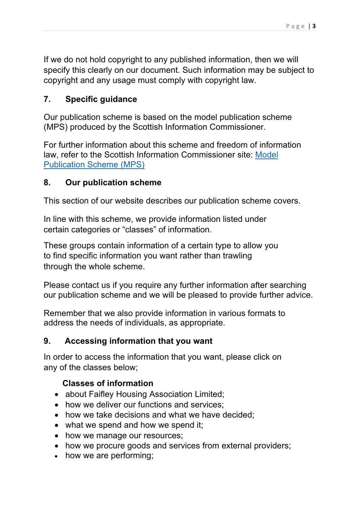If we do not hold copyright to any published information, then we will specify this clearly on our document. Such information may be subject to copyright and any usage must comply with copyright law.

## **7. Specific guidance**

Our publication scheme is based on the model publication scheme (MPS) produced by the Scottish Information Commissioner.

For further information about this scheme and freedom of information law, refer to the Scottish Information Commissioner site: Model Publication Scheme (MPS)

### **8. Our publication scheme**

This section of our website describes our publication scheme covers.

In line with this scheme, we provide information listed under certain categories or "classes" of information.

These groups contain information of a certain type to allow you to find specific information you want rather than trawling through the whole scheme.

Please contact us if you require any further information after searching our publication scheme and we will be pleased to provide further advice.

Remember that we also provide information in various formats to address the needs of individuals, as appropriate.

### **9. Accessing information that you want**

In order to access the information that you want, please click on any of the classes below;

### **Classes of information**

- about Faifley Housing Association Limited;
- how we deliver our functions and services:
- how we take decisions and what we have decided:
- what we spend and how we spend it;
- how we manage our resources;
- how we procure goods and services from external providers;
- how we are performing;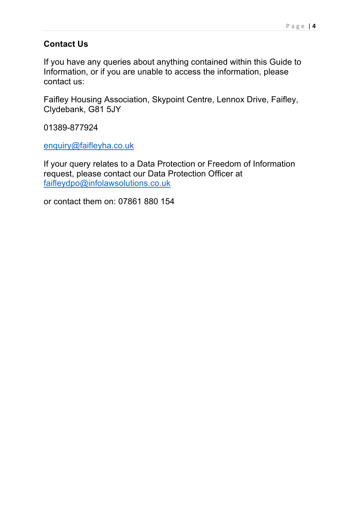### **Contact Us**

If you have any queries about anything contained within this Guide to Information, or if you are unable to access the information, please contact us:

Faifley Housing Association, Skypoint Centre, Lennox Drive, Faifley, Clydebank, G81 5JY

01389-877924

enquiry@faifleyha.co.uk

If your query relates to a Data Protection or Freedom of Information request, please contact our Data Protection Officer at faifleydpo@infolawsolutions.co.uk

or contact them on: 07861 880 154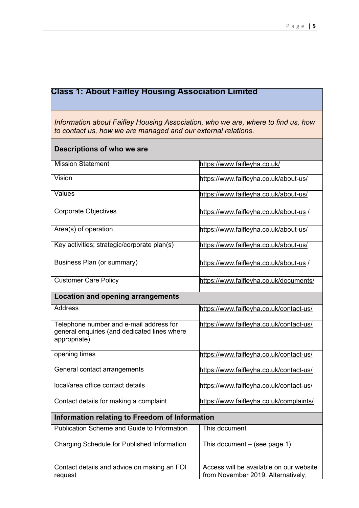# **Class 1: About Faifley Housing Association Limited**

*Information about Faifley Housing Association, who we are, where to find us, how to contact us, how we are managed and our external relations*.

| Descriptions of who we are                                                                              |                                                                               |  |
|---------------------------------------------------------------------------------------------------------|-------------------------------------------------------------------------------|--|
| <b>Mission Statement</b>                                                                                | https://www.faifleyha.co.uk/                                                  |  |
| Vision                                                                                                  | https://www.faifleyha.co.uk/about-us/                                         |  |
| Values                                                                                                  | https://www.faifleyha.co.uk/about-us/                                         |  |
| <b>Corporate Objectives</b>                                                                             | https://www.faifleyha.co.uk/about-us /                                        |  |
| Area(s) of operation                                                                                    | https://www.faifleyha.co.uk/about-us/                                         |  |
| Key activities; strategic/corporate plan(s)                                                             | https://www.faifleyha.co.uk/about-us/                                         |  |
| Business Plan (or summary)                                                                              | https://www.faifleyha.co.uk/about-us /                                        |  |
| <b>Customer Care Policy</b>                                                                             | https://www.faifleyha.co.uk/documents/                                        |  |
| <b>Location and opening arrangements</b>                                                                |                                                                               |  |
| <b>Address</b>                                                                                          | https://www.faifleyha.co.uk/contact-us/                                       |  |
| Telephone number and e-mail address for<br>general enquiries (and dedicated lines where<br>appropriate) | https://www.faifleyha.co.uk/contact-us/                                       |  |
| opening times                                                                                           | https://www.faifleyha.co.uk/contact-us/                                       |  |
| General contact arrangements                                                                            | https://www.faifleyha.co.uk/contact-us/                                       |  |
| local/area office contact details                                                                       | https://www.faifleyha.co.uk/contact-us/                                       |  |
| Contact details for making a complaint                                                                  | https://www.faifleyha.co.uk/complaints/                                       |  |
| Information relating to Freedom of Information                                                          |                                                                               |  |
| Publication Scheme and Guide to Information                                                             | This document                                                                 |  |
| Charging Schedule for Published Information                                                             | This document $-$ (see page 1)                                                |  |
| Contact details and advice on making an FOI<br>request                                                  | Access will be available on our website<br>from November 2019. Alternatively, |  |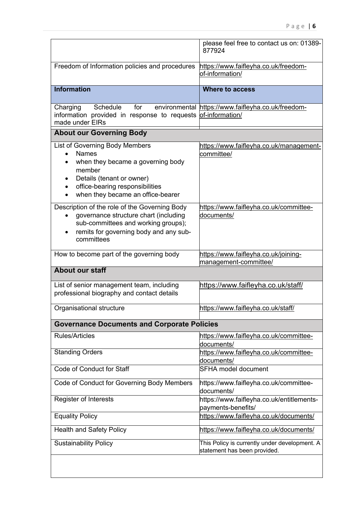|                                                                                                                                                                                                                 | please feel free to contact us on: 01389-<br>877924                           |
|-----------------------------------------------------------------------------------------------------------------------------------------------------------------------------------------------------------------|-------------------------------------------------------------------------------|
| Freedom of Information policies and procedures                                                                                                                                                                  | https://www.faifleyha.co.uk/freedom-<br>of-information/                       |
| <b>Information</b>                                                                                                                                                                                              | <b>Where to access</b>                                                        |
| Schedule<br>Charging<br>for<br>information provided in response to requests of-information/<br>made under EIRs                                                                                                  | environmental https://www.faifleyha.co.uk/freedom-                            |
| <b>About our Governing Body</b>                                                                                                                                                                                 |                                                                               |
| List of Governing Body Members<br><b>Names</b><br>$\bullet$<br>when they became a governing body<br>member<br>Details (tenant or owner)<br>office-bearing responsibilities<br>when they became an office-bearer | https://www.faifleyha.co.uk/management-<br>committee/                         |
| Description of the role of the Governing Body<br>governance structure chart (including<br>$\bullet$<br>sub-committees and working groups);<br>remits for governing body and any sub-<br>$\bullet$<br>committees | https://www.faifleyha.co.uk/committee-<br>documents/                          |
| How to become part of the governing body                                                                                                                                                                        | https://www.faifleyha.co.uk/joining-<br>management-committee/                 |
| <b>About our staff</b>                                                                                                                                                                                          |                                                                               |
| List of senior management team, including<br>professional biography and contact details                                                                                                                         | https://www.faifleyha.co.uk/staff/                                            |
| Organisational structure                                                                                                                                                                                        | https://www.faifleyha.co.uk/staff/                                            |
| <b>Governance Documents and Corporate Policies</b>                                                                                                                                                              |                                                                               |
| <b>Rules/Articles</b>                                                                                                                                                                                           | https://www.faifleyha.co.uk/committee-<br>documents/                          |
| <b>Standing Orders</b>                                                                                                                                                                                          | https://www.faifleyha.co.uk/committee-<br>documents/                          |
| Code of Conduct for Staff                                                                                                                                                                                       | <b>SFHA model document</b>                                                    |
| Code of Conduct for Governing Body Members                                                                                                                                                                      | https://www.faifleyha.co.uk/committee-<br>documents/                          |
| <b>Register of Interests</b>                                                                                                                                                                                    | https://www.faifleyha.co.uk/entitlements-<br>payments-benefits/               |
| <b>Equality Policy</b>                                                                                                                                                                                          | https://www.faifleyha.co.uk/documents/                                        |
| <b>Health and Safety Policy</b>                                                                                                                                                                                 | https://www.faifleyha.co.uk/documents/                                        |
| <b>Sustainability Policy</b>                                                                                                                                                                                    | This Policy is currently under development. A<br>statement has been provided. |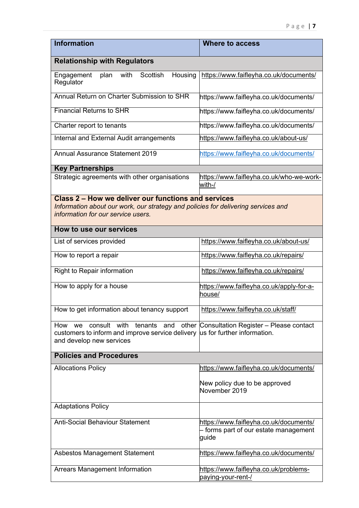| <b>Information</b>                                                                                                                   | <b>Where to access</b>                                                                   |
|--------------------------------------------------------------------------------------------------------------------------------------|------------------------------------------------------------------------------------------|
| <b>Relationship with Regulators</b>                                                                                                  |                                                                                          |
| with<br>Scottish<br>Housing<br>Engagement<br>plan<br>Regulator                                                                       | https://www.faifleyha.co.uk/documents/                                                   |
| Annual Return on Charter Submission to SHR                                                                                           | https://www.faifleyha.co.uk/documents/                                                   |
| <b>Financial Returns to SHR</b>                                                                                                      | https://www.faifleyha.co.uk/documents/                                                   |
| Charter report to tenants                                                                                                            | https://www.faifleyha.co.uk/documents/                                                   |
| Internal and External Audit arrangements                                                                                             | https://www.faifleyha.co.uk/about-us/                                                    |
| <b>Annual Assurance Statement 2019</b>                                                                                               | https://www.faifleyha.co.uk/documents/                                                   |
| <b>Key Partnerships</b>                                                                                                              |                                                                                          |
| Strategic agreements with other organisations                                                                                        | https://www.faifleyha.co.uk/who-we-work-<br>with-/                                       |
| Class 2 – How we deliver our functions and services                                                                                  |                                                                                          |
| Information about our work, our strategy and policies for delivering services and<br>information for our service users.              |                                                                                          |
|                                                                                                                                      |                                                                                          |
| How to use our services                                                                                                              |                                                                                          |
| List of services provided                                                                                                            | https://www.faifleyha.co.uk/about-us/                                                    |
| How to report a repair                                                                                                               | https://www.faifleyha.co.uk/repairs/                                                     |
| Right to Repair information                                                                                                          | https://www.faifleyha.co.uk/repairs/                                                     |
| How to apply for a house                                                                                                             | https://www.faifleyha.co.uk/apply-for-a-<br>house/                                       |
| How to get information about tenancy support                                                                                         | https://www.faifleyha.co.uk/staff/                                                       |
| consult with<br>tenants<br>and<br>other<br>How<br>we<br>customers to inform and improve service delivery<br>and develop new services | Consultation Register - Please contact<br>us for further information.                    |
|                                                                                                                                      |                                                                                          |
| <b>Policies and Procedures</b>                                                                                                       |                                                                                          |
| <b>Allocations Policy</b>                                                                                                            | https://www.faifleyha.co.uk/documents/                                                   |
|                                                                                                                                      | New policy due to be approved<br>November 2019                                           |
| <b>Adaptations Policy</b>                                                                                                            |                                                                                          |
| <b>Anti-Social Behaviour Statement</b>                                                                                               | https://www.faifleyha.co.uk/documents/<br>- forms part of our estate management<br>guide |
| Asbestos Management Statement                                                                                                        | https://www.faifleyha.co.uk/documents/                                                   |
| <b>Arrears Management Information</b>                                                                                                | https://www.faifleyha.co.uk/problems-<br>paying-your-rent-/                              |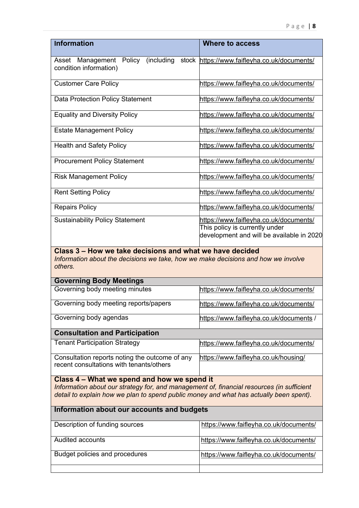| <b>Information</b>                                                                                                                                                                                                                 | <b>Where to access</b>                                                                                                |
|------------------------------------------------------------------------------------------------------------------------------------------------------------------------------------------------------------------------------------|-----------------------------------------------------------------------------------------------------------------------|
| Asset Management Policy<br>(including<br>condition information)                                                                                                                                                                    | stock https://www.faifleyha.co.uk/documents/                                                                          |
| <b>Customer Care Policy</b>                                                                                                                                                                                                        | https://www.faifleyha.co.uk/documents/                                                                                |
| <b>Data Protection Policy Statement</b>                                                                                                                                                                                            | https://www.faifleyha.co.uk/documents/                                                                                |
| <b>Equality and Diversity Policy</b>                                                                                                                                                                                               | https://www.faifleyha.co.uk/documents/                                                                                |
| <b>Estate Management Policy</b>                                                                                                                                                                                                    | https://www.faifleyha.co.uk/documents/                                                                                |
| <b>Health and Safety Policy</b>                                                                                                                                                                                                    | https://www.faifleyha.co.uk/documents/                                                                                |
| <b>Procurement Policy Statement</b>                                                                                                                                                                                                | https://www.faifleyha.co.uk/documents/                                                                                |
| <b>Risk Management Policy</b>                                                                                                                                                                                                      | https://www.faifleyha.co.uk/documents/                                                                                |
| <b>Rent Setting Policy</b>                                                                                                                                                                                                         | https://www.faifleyha.co.uk/documents/                                                                                |
| <b>Repairs Policy</b>                                                                                                                                                                                                              | https://www.faifleyha.co.uk/documents/                                                                                |
| <b>Sustainability Policy Statement</b>                                                                                                                                                                                             | https://www.faifleyha.co.uk/documents/<br>This policy is currently under<br>development and will be available in 2020 |
| Class 3 – How we take decisions and what we have decided<br>Information about the decisions we take, how we make decisions and how we involve<br>others.                                                                           |                                                                                                                       |
| <b>Governing Body Meetings</b>                                                                                                                                                                                                     |                                                                                                                       |
| Governing body meeting minutes                                                                                                                                                                                                     | https://www.faifleyha.co.uk/documents/                                                                                |
| Governing body meeting reports/papers                                                                                                                                                                                              | https://www.faifleyha.co.uk/documents/                                                                                |
| Governing body agendas                                                                                                                                                                                                             | https://www.faifleyha.co.uk/documents /                                                                               |
| <b>Consultation and Participation</b>                                                                                                                                                                                              |                                                                                                                       |
| <b>Tenant Participation Strategy</b>                                                                                                                                                                                               | https://www.faifleyha.co.uk/documents/                                                                                |
| Consultation reports noting the outcome of any<br>recent consultations with tenants/others                                                                                                                                         | https://www.faifleyha.co.uk/housing/                                                                                  |
| Class 4 – What we spend and how we spend it<br>Information about our strategy for, and management of, financial resources (in sufficient<br>detail to explain how we plan to spend public money and what has actually been spent). |                                                                                                                       |
| Information about our accounts and budgets                                                                                                                                                                                         |                                                                                                                       |
| Description of funding sources                                                                                                                                                                                                     | https://www.faifleyha.co.uk/documents/                                                                                |
| <b>Audited accounts</b>                                                                                                                                                                                                            | https://www.faifleyha.co.uk/documents/                                                                                |
| Budget policies and procedures                                                                                                                                                                                                     | https://www.faifleyha.co.uk/documents/                                                                                |
|                                                                                                                                                                                                                                    |                                                                                                                       |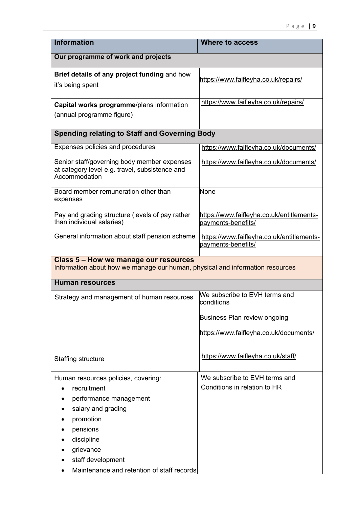| <b>Information</b>                                                                                                                                                          | <b>Where to access</b>                                          |  |
|-----------------------------------------------------------------------------------------------------------------------------------------------------------------------------|-----------------------------------------------------------------|--|
| Our programme of work and projects                                                                                                                                          |                                                                 |  |
| Brief details of any project funding and how<br>it's being spent                                                                                                            | https://www.faifleyha.co.uk/repairs/                            |  |
| Capital works programme/plans information<br>(annual programme figure)                                                                                                      | https://www.faifleyha.co.uk/repairs/                            |  |
| <b>Spending relating to Staff and Governing Body</b>                                                                                                                        |                                                                 |  |
| Expenses policies and procedures                                                                                                                                            | https://www.faifleyha.co.uk/documents/                          |  |
| Senior staff/governing body member expenses<br>at category level e.g. travel, subsistence and<br>Accommodation                                                              | https://www.faifleyha.co.uk/documents/                          |  |
| Board member remuneration other than<br>expenses                                                                                                                            | None                                                            |  |
| Pay and grading structure (levels of pay rather<br>than individual salaries)                                                                                                | https://www.faifleyha.co.uk/entitlements-<br>payments-benefits/ |  |
| General information about staff pension scheme                                                                                                                              | https://www.faifleyha.co.uk/entitlements-<br>payments-benefits/ |  |
| <b>Class 5 - How we manage our resources</b><br>Information about how we manage our human, physical and information resources                                               |                                                                 |  |
| <b>Human resources</b>                                                                                                                                                      |                                                                 |  |
| Strategy and management of human resources                                                                                                                                  | We subscribe to EVH terms and<br>conditions                     |  |
|                                                                                                                                                                             | Business Plan review ongoing                                    |  |
|                                                                                                                                                                             | https://www.faifleyha.co.uk/documents/                          |  |
| Staffing structure                                                                                                                                                          | https://www.faifleyha.co.uk/staff/                              |  |
| Human resources policies, covering:<br>recruitment<br>performance management<br>salary and grading<br>promotion<br>pensions<br>discipline<br>grievance<br>staff development | We subscribe to EVH terms and<br>Conditions in relation to HR   |  |
| Maintenance and retention of staff records                                                                                                                                  |                                                                 |  |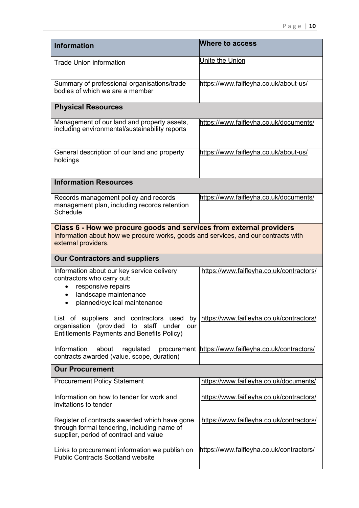| <b>Information</b>                                                                                                                                                               | Where to access                                      |
|----------------------------------------------------------------------------------------------------------------------------------------------------------------------------------|------------------------------------------------------|
| <b>Trade Union information</b>                                                                                                                                                   | Unite the Union                                      |
| Summary of professional organisations/trade<br>bodies of which we are a member                                                                                                   | https://www.faifleyha.co.uk/about-us/                |
| <b>Physical Resources</b>                                                                                                                                                        |                                                      |
| Management of our land and property assets,<br>including environmental/sustainability reports                                                                                    | https://www.faifleyha.co.uk/documents/               |
| General description of our land and property<br>holdings                                                                                                                         | https://www.faifleyha.co.uk/about-us/                |
| <b>Information Resources</b>                                                                                                                                                     |                                                      |
| Records management policy and records<br>management plan, including records retention<br>Schedule                                                                                | https://www.faifleyha.co.uk/documents/               |
| Class 6 - How we procure goods and services from external providers<br>Information about how we procure works, goods and services, and our contracts with<br>external providers. |                                                      |
| <b>Our Contractors and suppliers</b>                                                                                                                                             |                                                      |
| Information about our key service delivery<br>contractors who carry out:<br>responsive repairs<br>landscape maintenance<br>planned/cyclical maintenance                          | https://www.faifleyha.co.uk/contractors/             |
| List of suppliers and contractors used<br>by <sub>l</sub><br>organisation (provided to staff under<br>our<br><b>Entitlements Payments and Benefits Policy)</b>                   | https://www.faifleyha.co.uk/contractors/             |
| Information<br>about<br>regulated<br>contracts awarded (value, scope, duration)                                                                                                  | procurement https://www.faifleyha.co.uk/contractors/ |
| <b>Our Procurement</b>                                                                                                                                                           |                                                      |
| <b>Procurement Policy Statement</b>                                                                                                                                              | https://www.faifleyha.co.uk/documents/               |
| Information on how to tender for work and<br>invitations to tender                                                                                                               | https://www.faifleyha.co.uk/contractors/             |
| Register of contracts awarded which have gone<br>through formal tendering, including name of<br>supplier, period of contract and value                                           | https://www.faifleyha.co.uk/contractors/             |
|                                                                                                                                                                                  |                                                      |